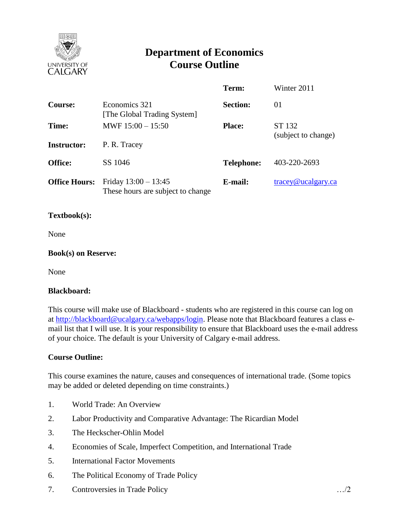

# **Department of Economics Course Outline**

|                      |                                                             | Term:             | Winter 2011                      |
|----------------------|-------------------------------------------------------------|-------------------|----------------------------------|
| <b>Course:</b>       | Economics 321<br>[The Global Trading System]                | <b>Section:</b>   | 01                               |
| Time:                | MWF $15:00 - 15:50$                                         | <b>Place:</b>     | ST 132<br>(subject to change)    |
| <b>Instructor:</b>   | P. R. Tracey                                                |                   |                                  |
| <b>Office:</b>       | SS 1046                                                     | <b>Telephone:</b> | 403-220-2693                     |
| <b>Office Hours:</b> | Friday $13:00 - 13:45$<br>These hours are subject to change | E-mail:           | $trace\$ <sub>@ucalgary.ca</sub> |

#### **Textbook(s):**

None

#### **Book(s) on Reserve:**

None

#### **Blackboard:**

This course will make use of Blackboard - students who are registered in this course can log on at [http://blackboard@ucalgary.ca/webapps/login.](http://blackboard@ucalgary.ca/webapps/login) Please note that Blackboard features a class email list that I will use. It is your responsibility to ensure that Blackboard uses the e-mail address of your choice. The default is your University of Calgary e-mail address.

## **Course Outline:**

This course examines the nature, causes and consequences of international trade. (Some topics may be added or deleted depending on time constraints.)

- 1. World Trade: An Overview
- 2. Labor Productivity and Comparative Advantage: The Ricardian Model
- 3. The Heckscher-Ohlin Model
- 4. Economies of Scale, Imperfect Competition, and International Trade
- 5. International Factor Movements
- 6. The Political Economy of Trade Policy
- 7. Controversies in Trade Policy …/2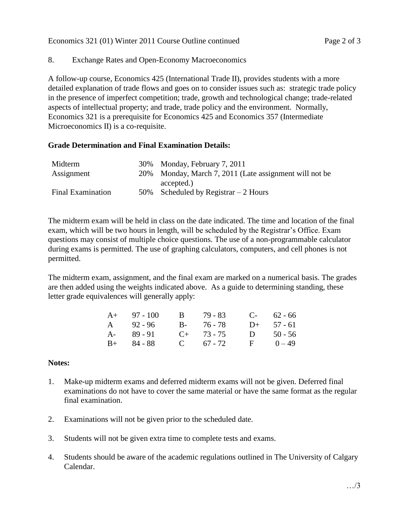## 8. Exchange Rates and Open-Economy Macroeconomics

A follow-up course, Economics 425 (International Trade II), provides students with a more detailed explanation of trade flows and goes on to consider issues such as: strategic trade policy in the presence of imperfect competition; trade, growth and technological change; trade-related aspects of intellectual property; and trade, trade policy and the environment. Normally, Economics 321 is a prerequisite for Economics 425 and Economics 357 (Intermediate Microeconomics II) is a co-requisite.

## **Grade Determination and Final Examination Details:**

| Midterm                  | 30% Monday, February 7, 2011                           |
|--------------------------|--------------------------------------------------------|
| Assignment               | 20% Monday, March 7, 2011 (Late assignment will not be |
|                          | accepted.)                                             |
| <b>Final Examination</b> | 50% Scheduled by Registrar $-2$ Hours                  |

The midterm exam will be held in class on the date indicated. The time and location of the final exam, which will be two hours in length, will be scheduled by the Registrar's Office. Exam questions may consist of multiple choice questions. The use of a non-programmable calculator during exams is permitted. The use of graphing calculators, computers, and cell phones is not permitted.

The midterm exam, assignment, and the final exam are marked on a numerical basis. The grades are then added using the weights indicated above. As a guide to determining standing, these letter grade equivalences will generally apply:

| $A+$ 97 - 100 | B 79 - 83       |   | $C-$ 62 - 66 |
|---------------|-----------------|---|--------------|
| A 92-96       | B- 76-78        |   | $D+ 57 - 61$ |
| $A - 89 - 91$ | $C_{+}$ 73 - 75 | D | $50 - 56$    |
| $B+$ 84 - 88  | C $67 - 72$     |   | $F = 0 - 49$ |

## **Notes:**

- 1. Make-up midterm exams and deferred midterm exams will not be given. Deferred final examinations do not have to cover the same material or have the same format as the regular final examination.
- 2. Examinations will not be given prior to the scheduled date.
- 3. Students will not be given extra time to complete tests and exams.
- 4. Students should be aware of the academic regulations outlined in The University of Calgary Calendar.